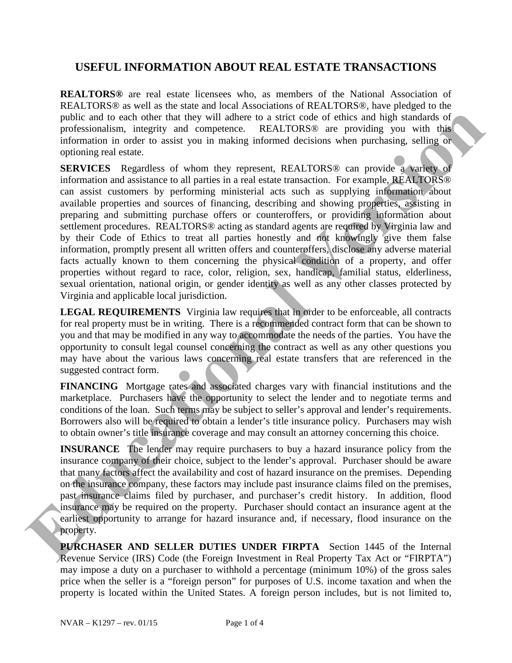## **USEFUL INFORMATION ABOUT REAL ESTATE TRANSACTIONS**

**REALTORS®** are real estate licensees who, as members of the National Association of REALTORS® as well as the state and local Associations of REALTORS®, have pledged to the public and to each other that they will adhere to a strict code of ethics and high standards of professionalism, integrity and competence. REALTORS® are providing you with this information in order to assist you in making informed decisions when purchasing, selling or optioning real estate.

**SERVICES** Regardless of whom they represent, REALTORS® can provide a variety of information and assistance to all parties in a real estate transaction. For example, REALTORS® can assist customers by performing ministerial acts such as supplying information about available properties and sources of financing, describing and showing properties, assisting in preparing and submitting purchase offers or counteroffers, or providing information about settlement procedures. REALTORS® acting as standard agents are required by Virginia law and by their Code of Ethics to treat all parties honestly and not knowingly give them false information, promptly present all written offers and counteroffers, disclose any adverse material facts actually known to them concerning the physical condition of a property, and offer properties without regard to race, color, religion, sex, handicap, familial status, elderliness, sexual orientation, national origin, or gender identity as well as any other classes protected by Virginia and applicable local jurisdiction. public and to each other that they will address to a sint close of ethics and high standards of equival in order to assist you in making informed decisions when purchasing, selling on provide normal version in order to ass

**LEGAL REQUIREMENTS** Virginia law requires that in order to be enforceable, all contracts for real property must be in writing. There is a recommended contract form that can be shown to you and that may be modified in any way to accommodate the needs of the parties. You have the opportunity to consult legal counsel concerning the contract as well as any other questions you may have about the various laws concerning real estate transfers that are referenced in the suggested contract form.

**FINANCING** Mortgage rates and associated charges vary with financial institutions and the marketplace. Purchasers have the opportunity to select the lender and to negotiate terms and conditions of the loan. Such terms may be subject to seller's approval and lender's requirements. Borrowers also will be required to obtain a lender's title insurance policy. Purchasers may wish to obtain owner's title insurance coverage and may consult an attorney concerning this choice.

**INSURANCE** The lender may require purchasers to buy a hazard insurance policy from the insurance company of their choice, subject to the lender's approval. Purchaser should be aware that many factors affect the availability and cost of hazard insurance on the premises. Depending on the insurance company, these factors may include past insurance claims filed on the premises, past insurance claims filed by purchaser, and purchaser's credit history. In addition, flood insurance may be required on the property. Purchaser should contact an insurance agent at the earliest opportunity to arrange for hazard insurance and, if necessary, flood insurance on the property.

**PURCHASER AND SELLER DUTIES UNDER FIRPTA** Section 1445 of the Internal Revenue Service (IRS) Code (the Foreign Investment in Real Property Tax Act or "FIRPTA") may impose a duty on a purchaser to withhold a percentage (minimum 10%) of the gross sales price when the seller is a "foreign person" for purposes of U.S. income taxation and when the property is located within the United States. A foreign person includes, but is not limited to,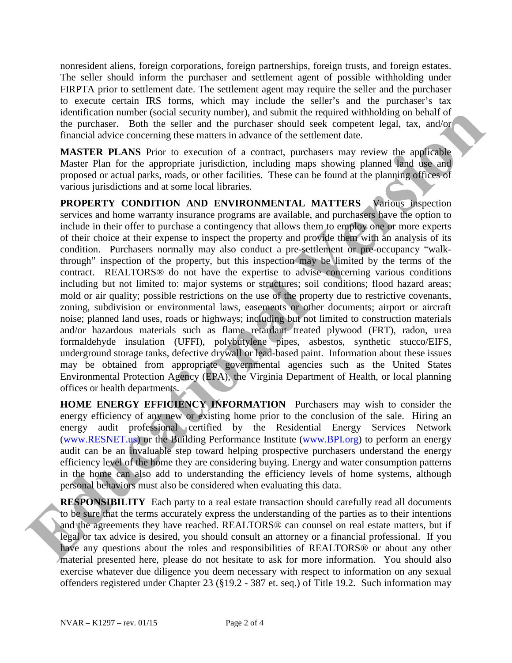nonresident aliens, foreign corporations, foreign partnerships, foreign trusts, and foreign estates. The seller should inform the purchaser and settlement agent of possible withholding under FIRPTA prior to settlement date. The settlement agent may require the seller and the purchaser to execute certain IRS forms, which may include the seller's and the purchaser's tax identification number (social security number), and submit the required withholding on behalf of the purchaser. Both the seller and the purchaser should seek competent legal, tax, and/or financial advice concerning these matters in advance of the settlement date.

**MASTER PLANS** Prior to execution of a contract, purchasers may review the applicable Master Plan for the appropriate jurisdiction, including maps showing planned land use and proposed or actual parks, roads, or other facilities. These can be found at the planning offices of various jurisdictions and at some local libraries.

**PROPERTY CONDITION AND ENVIRONMENTAL MATTERS** Various inspection services and home warranty insurance programs are available, and purchasers have the option to include in their offer to purchase a contingency that allows them to employ one or more experts of their choice at their expense to inspect the property and provide them with an analysis of its condition. Purchasers normally may also conduct a pre-settlement or pre-occupancy "walkthrough" inspection of the property, but this inspection may be limited by the terms of the contract. REALTORS® do not have the expertise to advise concerning various conditions including but not limited to: major systems or structures; soil conditions; flood hazard areas; mold or air quality; possible restrictions on the use of the property due to restrictive covenants, zoning, subdivision or environmental laws, easements or other documents; airport or aircraft noise; planned land uses, roads or highways; including but not limited to construction materials and/or hazardous materials such as flame retardant treated plywood (FRT), radon, urea formaldehyde insulation (UFFI), polybutylene pipes, asbestos, synthetic stucco/EIFS, underground storage tanks, defective drywall or lead-based paint. Information about these issues may be obtained from appropriate governmental agencies such as the United States Environmental Protection Agency (EPA), the Virginia Department of Health, or local planning offices or health departments. dentifi[c](http://www.resnet.us/)antion uniter (social scentify manach and submit the required withholong on behalf of<br>the purchase. Both the seller and the purchaser should exercultent legal, tax, and/or<br>functional device concenting these matrics

**HOME ENERGY EFFICIENCY INFORMATION** Purchasers may wish to consider the energy efficiency of any new or existing home prior to the conclusion of the sale. Hiring an energy audit professional certified by the Residential Energy Services Network (www.RESNET.us) or the Building Performance Institute (www.BPI.org) to perform an energy audit can be an invaluable step toward helping prospective purchasers understand the energy efficiency level of the home they are considering buying. Energy and water consumption patterns in the home can also add to understanding the efficiency levels of home systems, although personal behaviors must also be considered when evaluating this data.

**RESPONSIBILITY** Each party to a real estate transaction should carefully read all documents to be sure that the terms accurately express the understanding of the parties as to their intentions and the agreements they have reached. REALTORS® can counsel on real estate matters, but if legal or tax advice is desired, you should consult an attorney or a financial professional. If you have any questions about the roles and responsibilities of REALTORS<sup>®</sup> or about any other material presented here, please do not hesitate to ask for more information. You should also exercise whatever due diligence you deem necessary with respect to information on any sexual offenders registered under Chapter 23 (§19.2 - 387 et. seq.) of Title 19.2. Such information may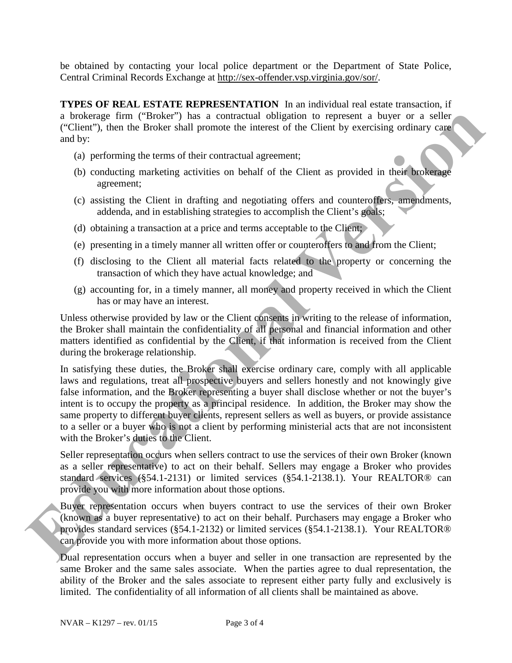be obtained by contacting your local police department or the Department of State Police, Central Criminal Records Exchange at http://sex-offender.vsp.virginia.gov/sor/.

**TYPES OF REAL ESTATE REPRESENTATION** In an individual real estate transaction, if a brokerage firm ("Broker") has a contractual obligation to represent a buyer or a seller ("Client"), then the Broker shall promote the interest of the Client by exercising ordinary care and by:

- (a) performing the terms of their contractual agreement;
- (b) conducting marketing activities on behalf of the Client as provided in their brokerage agreement;
- (c) assisting the Client in drafting and negotiating offers and counteroffers, amendments, addenda, and in establishing strategies to accomplish the Client's goals;
- (d) obtaining a transaction at a price and terms acceptable to the Client;
- (e) presenting in a timely manner all written offer or counteroffers to and from the Client;
- (f) disclosing to the Client all material facts related to the property or concerning the transaction of which they have actual knowledge; and
- (g) accounting for, in a timely manner, all money and property received in which the Client has or may have an interest.

Unless otherwise provided by law or the Client consents in writing to the release of information, the Broker shall maintain the confidentiality of all personal and financial information and other matters identified as confidential by the Client, if that information is received from the Client during the brokerage relationship.

In satisfying these duties, the Broker shall exercise ordinary care, comply with all applicable laws and regulations, treat all prospective buyers and sellers honestly and not knowingly give false information, and the Broker representing a buyer shall disclose whether or not the buyer's intent is to occupy the property as a principal residence. In addition, the Broker may show the same property to different buyer clients, represent sellers as well as buyers, or provide assistance to a seller or a buyer who is not a client by performing ministerial acts that are not inconsistent with the Broker's duties to the Client. In brokerne firm (Flanker") has a contractual objegion in representation (First, 2008).<br>
(Citient"), then the Broker shall primete the interest of the Client by exercising ordinary care<br>
(a) performing the terms of their c

Seller representation occurs when sellers contract to use the services of their own Broker (known as a seller representative) to act on their behalf. Sellers may engage a Broker who provides standard services (§54.1-2131) or limited services (§54.1-2138.1). Your REALTOR® can provide you with more information about those options.

Buyer representation occurs when buyers contract to use the services of their own Broker (known as a buyer representative) to act on their behalf. Purchasers may engage a Broker who provides standard services (§54.1-2132) or limited services (§54.1-2138.1). Your REALTOR® can provide you with more information about those options.

Dual representation occurs when a buyer and seller in one transaction are represented by the same Broker and the same sales associate. When the parties agree to dual representation, the ability of the Broker and the sales associate to represent either party fully and exclusively is limited. The confidentiality of all information of all clients shall be maintained as above.